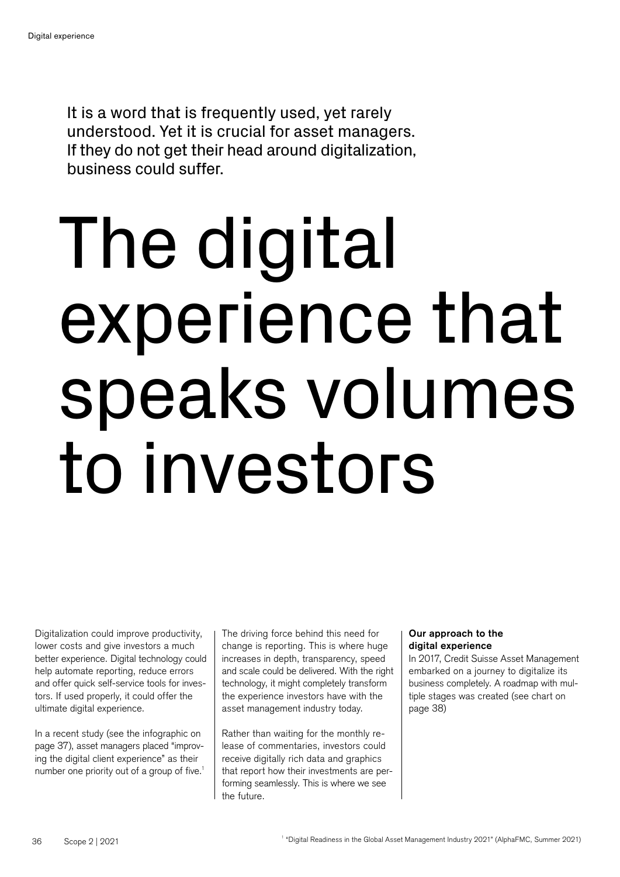It is a word that is frequently used, yet rarely understood. Yet it is crucial for asset managers. If they do not get their head around digitalization, business could suffer.

# The digital experience that speaks volumes to investors

Digitalization could improve productivity, lower costs and give investors a much better experience. Digital technology could help automate reporting, reduce errors and offer quick self-service tools for investors. If used properly, it could offer the ultimate digital experience.

In a recent study (see the infographic on page 37), asset managers placed "improving the digital client experience" as their number one priority out of a group of five.<sup>1</sup>

The driving force behind this need for change is reporting. This is where huge increases in depth, transparency, speed and scale could be delivered. With the right technology, it might completely transform the experience investors have with the asset management industry today.

Rather than waiting for the monthly release of commentaries, investors could receive digitally rich data and graphics that report how their investments are performing seamlessly. This is where we see the future.

#### Our approach to the digital experience

In 2017, Credit Suisse Asset Management embarked on a journey to digitalize its business completely. A roadmap with multiple stages was created (see chart on page 38)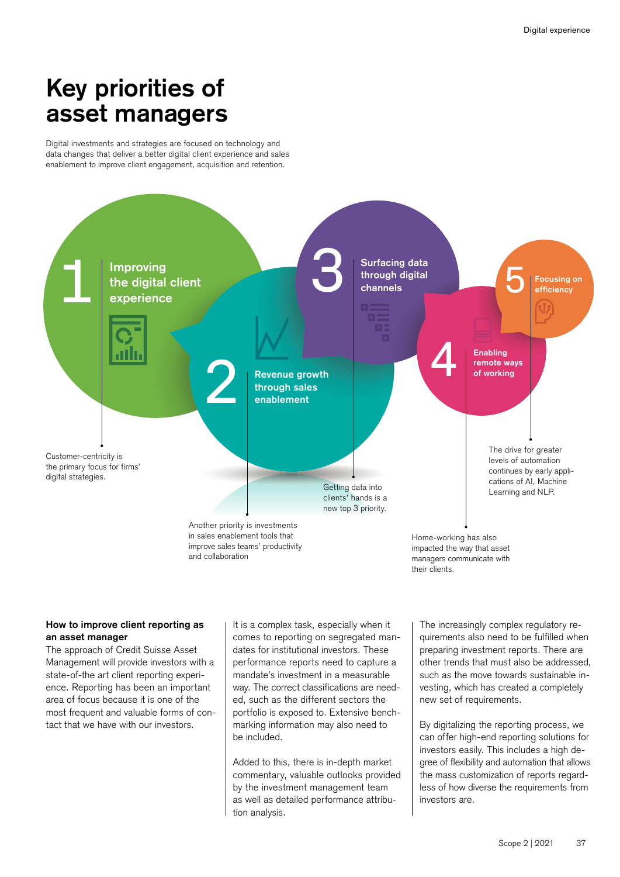## Key priorities of asset managers

Digital investments and strategies are focused on technology and data changes that deliver a better digital client experience and sales enablement to improve client engagement, acquisition and retention.



#### How to improve client reporting as an asset manager

The approach of Credit Suisse Asset Management will provide investors with a state-of-the art client reporting experience. Reporting has been an important area of focus because it is one of the most frequent and valuable forms of contact that we have with our investors.

It is a complex task, especially when it comes to reporting on segregated mandates for institutional investors. These performance reports need to capture a mandate's investment in a measurable way. The correct classifications are needed, such as the different sectors the portfolio is exposed to. Extensive benchmarking information may also need to be included.

Added to this, there is in-depth market commentary, valuable outlooks provided by the investment management team as well as detailed performance attribution analysis.

The increasingly complex regulatory requirements also need to be fulfilled when preparing investment reports. There are other trends that must also be addressed, such as the move towards sustainable investing, which has created a completely new set of requirements.

By digitalizing the reporting process, we can offer high-end reporting solutions for investors easily. This includes a high degree of flexibility and automation that allows the mass customization of reports regardless of how diverse the requirements from investors are.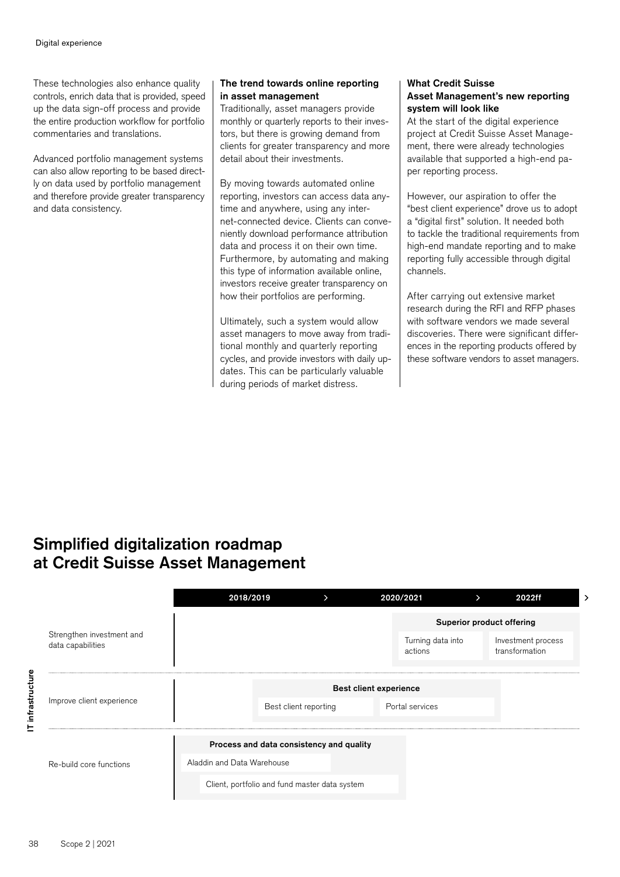These technologies also enhance quality controls, enrich data that is provided, speed up the data sign-off process and provide the entire production workflow for portfolio commentaries and translations.

Advanced portfolio management systems can also allow reporting to be based directly on data used by portfolio management and therefore provide greater transparency and data consistency.

#### The trend towards online reporting in asset management

Traditionally, asset managers provide monthly or quarterly reports to their investors, but there is growing demand from clients for greater transparency and more detail about their investments.

By moving towards automated online reporting, investors can access data anytime and anywhere, using any internet-connected device. Clients can conveniently download performance attribution data and process it on their own time. Furthermore, by automating and making this type of information available online, investors receive greater transparency on how their portfolios are performing.

Ultimately, such a system would allow asset managers to move away from traditional monthly and quarterly reporting cycles, and provide investors with daily updates. This can be particularly valuable during periods of market distress.

#### What Credit Suisse Asset Management's new reporting system will look like

At the start of the digital experience project at Credit Suisse Asset Management, there were already technologies available that supported a high-end paper reporting process.

However, our aspiration to offer the "best client experience" drove us to adopt a "digital first" solution. It needed both to tackle the traditional requirements from high-end mandate reporting and to make reporting fully accessible through digital channels.

After carrying out extensive market research during the RFI and RFP phases with software vendors we made several discoveries. There were significant differences in the reporting products offered by these software vendors to asset managers.

### Simplified digitalization roadmap at Credit Suisse Asset Management

|                                                | 2018/2019                                     | ゝ                     | 2020/2021                    | ⋗                         | 2022ff                               |  |
|------------------------------------------------|-----------------------------------------------|-----------------------|------------------------------|---------------------------|--------------------------------------|--|
| Strengthen investment and<br>data capabilities |                                               |                       |                              | Superior product offering |                                      |  |
|                                                |                                               |                       | Turning data into<br>actions |                           | Investment process<br>transformation |  |
| infrastructure<br>Improve client experience    | <b>Best client experience</b>                 |                       |                              |                           |                                      |  |
|                                                |                                               | Best client reporting | Portal services              |                           |                                      |  |
| ᄂ                                              | Process and data consistency and quality      |                       |                              |                           |                                      |  |
| Re-build core functions                        | Aladdin and Data Warehouse                    |                       |                              |                           |                                      |  |
|                                                | Client, portfolio and fund master data system |                       |                              |                           |                                      |  |